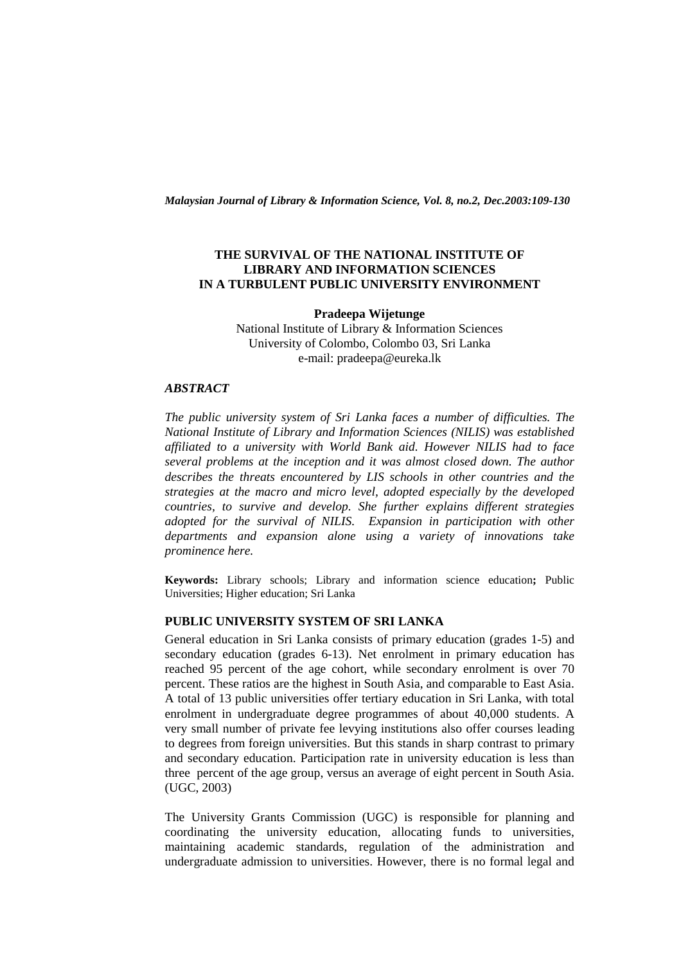*Malaysian Journal of Library & Information Science, Vol. 8, no.2, Dec.2003:109-130* 

# **THE SURVIVAL OF THE NATIONAL INSTITUTE OF LIBRARY AND INFORMATION SCIENCES IN A TURBULENT PUBLIC UNIVERSITY ENVIRONMENT**

**Pradeepa Wijetunge**  National Institute of Library & Information Sciences University of Colombo, Colombo 03, Sri Lanka e-mail: pradeepa@eureka.lk

### *ABSTRACT*

*The public university system of Sri Lanka faces a number of difficulties. The National Institute of Library and Information Sciences (NILIS) was established affiliated to a university with World Bank aid. However NILIS had to face several problems at the inception and it was almost closed down. The author describes the threats encountered by LIS schools in other countries and the strategies at the macro and micro level, adopted especially by the developed countries, to survive and develop. She further explains different strategies adopted for the survival of NILIS. Expansion in participation with other departments and expansion alone using a variety of innovations take prominence here.* 

**Keywords:** Library schools; Library and information science education**;** Public Universities; Higher education; Sri Lanka

# **PUBLIC UNIVERSITY SYSTEM OF SRI LANKA**

General education in Sri Lanka consists of primary education (grades 1-5) and secondary education (grades 6-13). Net enrolment in primary education has reached 95 percent of the age cohort, while secondary enrolment is over 70 percent. These ratios are the highest in South Asia, and comparable to East Asia. A total of 13 public universities offer tertiary education in Sri Lanka, with total enrolment in undergraduate degree programmes of about 40,000 students. A very small number of private fee levying institutions also offer courses leading to degrees from foreign universities. But this stands in sharp contrast to primary and secondary education. Participation rate in university education is less than three percent of the age group, versus an average of eight percent in South Asia. (UGC, 2003)

The University Grants Commission (UGC) is responsible for planning and coordinating the university education, allocating funds to universities, maintaining academic standards, regulation of the administration and undergraduate admission to universities. However, there is no formal legal and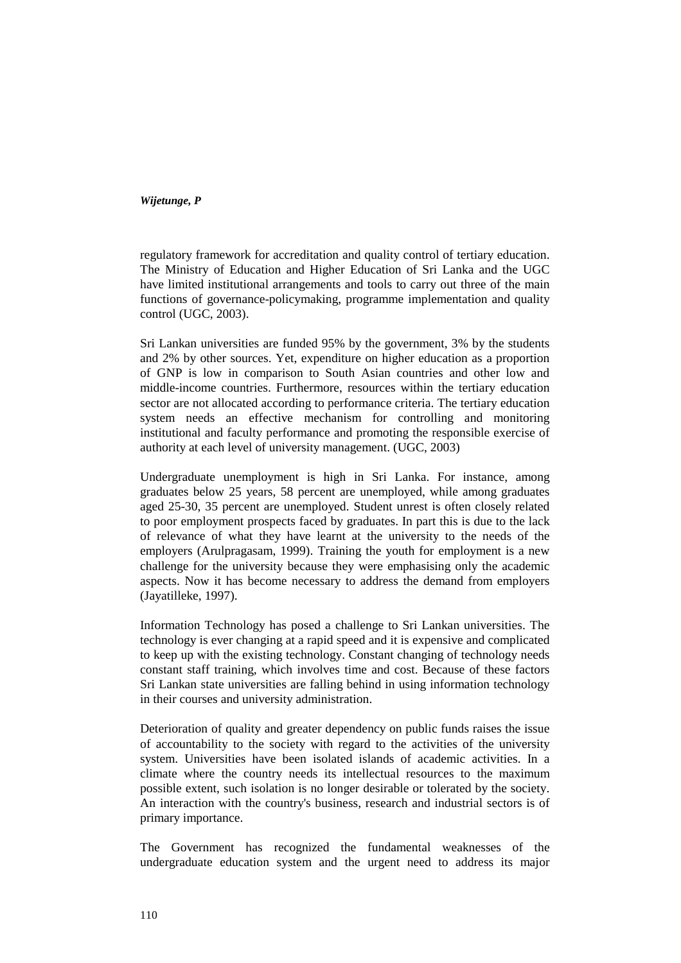regulatory framework for accreditation and quality control of tertiary education. The Ministry of Education and Higher Education of Sri Lanka and the UGC have limited institutional arrangements and tools to carry out three of the main functions of governance-policymaking, programme implementation and quality control (UGC, 2003).

Sri Lankan universities are funded 95% by the government, 3% by the students and 2% by other sources. Yet, expenditure on higher education as a proportion of GNP is low in comparison to South Asian countries and other low and middle-income countries. Furthermore, resources within the tertiary education sector are not allocated according to performance criteria. The tertiary education system needs an effective mechanism for controlling and monitoring institutional and faculty performance and promoting the responsible exercise of authority at each level of university management. (UGC, 2003)

Undergraduate unemployment is high in Sri Lanka. For instance, among graduates below 25 years, 58 percent are unemployed, while among graduates aged 25-30, 35 percent are unemployed. Student unrest is often closely related to poor employment prospects faced by graduates. In part this is due to the lack of relevance of what they have learnt at the university to the needs of the employers (Arulpragasam, 1999). Training the youth for employment is a new challenge for the university because they were emphasising only the academic aspects. Now it has become necessary to address the demand from employers (Jayatilleke, 1997).

Information Technology has posed a challenge to Sri Lankan universities. The technology is ever changing at a rapid speed and it is expensive and complicated to keep up with the existing technology. Constant changing of technology needs constant staff training, which involves time and cost. Because of these factors Sri Lankan state universities are falling behind in using information technology in their courses and university administration.

Deterioration of quality and greater dependency on public funds raises the issue of accountability to the society with regard to the activities of the university system. Universities have been isolated islands of academic activities. In a climate where the country needs its intellectual resources to the maximum possible extent, such isolation is no longer desirable or tolerated by the society. An interaction with the country's business, research and industrial sectors is of primary importance.

The Government has recognized the fundamental weaknesses of the undergraduate education system and the urgent need to address its major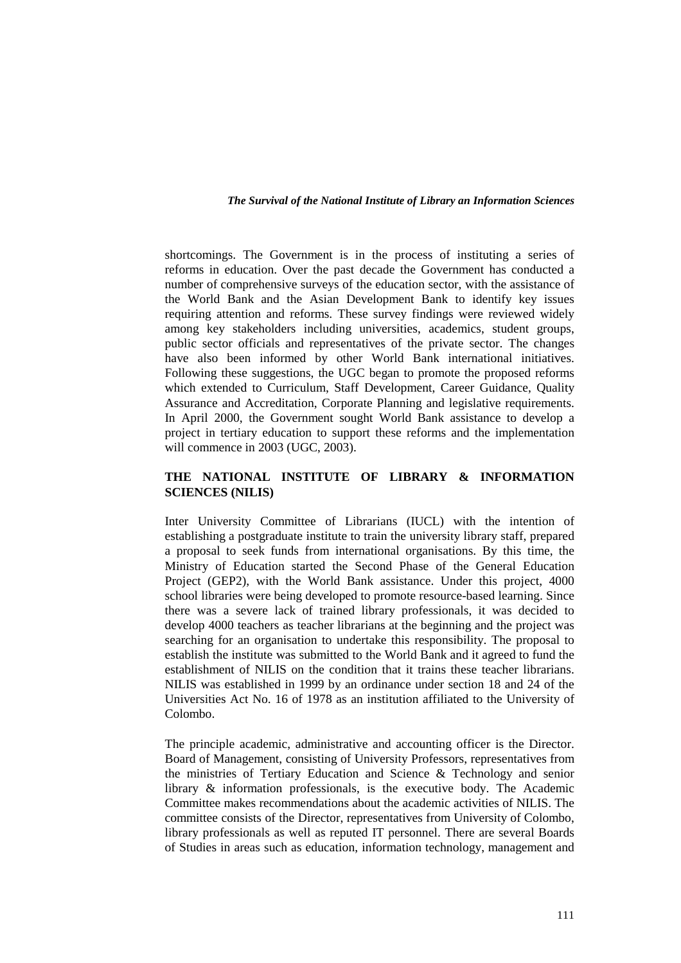shortcomings. The Government is in the process of instituting a series of reforms in education. Over the past decade the Government has conducted a number of comprehensive surveys of the education sector, with the assistance of the World Bank and the Asian Development Bank to identify key issues requiring attention and reforms. These survey findings were reviewed widely among key stakeholders including universities, academics, student groups, public sector officials and representatives of the private sector. The changes have also been informed by other World Bank international initiatives. Following these suggestions, the UGC began to promote the proposed reforms which extended to Curriculum, Staff Development, Career Guidance, Ouality Assurance and Accreditation, Corporate Planning and legislative requirements. In April 2000, the Government sought World Bank assistance to develop a project in tertiary education to support these reforms and the implementation will commence in 2003 (UGC, 2003).

# **THE NATIONAL INSTITUTE OF LIBRARY & INFORMATION SCIENCES (NILIS)**

Inter University Committee of Librarians (IUCL) with the intention of establishing a postgraduate institute to train the university library staff, prepared a proposal to seek funds from international organisations. By this time, the Ministry of Education started the Second Phase of the General Education Project (GEP2), with the World Bank assistance. Under this project, 4000 school libraries were being developed to promote resource-based learning. Since there was a severe lack of trained library professionals, it was decided to develop 4000 teachers as teacher librarians at the beginning and the project was searching for an organisation to undertake this responsibility. The proposal to establish the institute was submitted to the World Bank and it agreed to fund the establishment of NILIS on the condition that it trains these teacher librarians. NILIS was established in 1999 by an ordinance under section 18 and 24 of the Universities Act No. 16 of 1978 as an institution affiliated to the University of Colombo.

The principle academic, administrative and accounting officer is the Director. Board of Management, consisting of University Professors, representatives from the ministries of Tertiary Education and Science & Technology and senior library & information professionals, is the executive body. The Academic Committee makes recommendations about the academic activities of NILIS. The committee consists of the Director, representatives from University of Colombo, library professionals as well as reputed IT personnel. There are several Boards of Studies in areas such as education, information technology, management and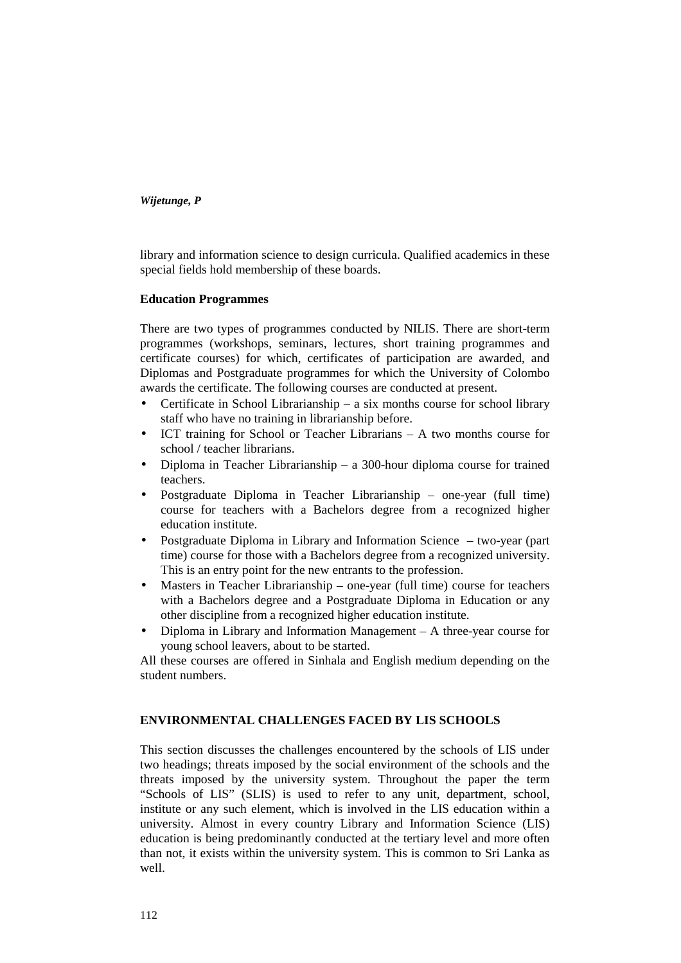library and information science to design curricula. Qualified academics in these special fields hold membership of these boards.

# **Education Programmes**

There are two types of programmes conducted by NILIS. There are short-term programmes (workshops, seminars, lectures, short training programmes and certificate courses) for which, certificates of participation are awarded, and Diplomas and Postgraduate programmes for which the University of Colombo awards the certificate. The following courses are conducted at present.

- Certificate in School Librarianship a six months course for school library staff who have no training in librarianship before.
- ICT training for School or Teacher Librarians A two months course for school / teacher librarians.
- Diploma in Teacher Librarianship a 300-hour diploma course for trained teachers.
- Postgraduate Diploma in Teacher Librarianship one-year (full time) course for teachers with a Bachelors degree from a recognized higher education institute.
- Postgraduate Diploma in Library and Information Science two-year (part time) course for those with a Bachelors degree from a recognized university. This is an entry point for the new entrants to the profession.
- Masters in Teacher Librarianship one-year (full time) course for teachers with a Bachelors degree and a Postgraduate Diploma in Education or any other discipline from a recognized higher education institute.
- Diploma in Library and Information Management A three-year course for young school leavers, about to be started.

All these courses are offered in Sinhala and English medium depending on the student numbers.

# **ENVIRONMENTAL CHALLENGES FACED BY LIS SCHOOLS**

This section discusses the challenges encountered by the schools of LIS under two headings; threats imposed by the social environment of the schools and the threats imposed by the university system. Throughout the paper the term "Schools of LIS" (SLIS) is used to refer to any unit, department, school, institute or any such element, which is involved in the LIS education within a university. Almost in every country Library and Information Science (LIS) education is being predominantly conducted at the tertiary level and more often than not, it exists within the university system. This is common to Sri Lanka as well.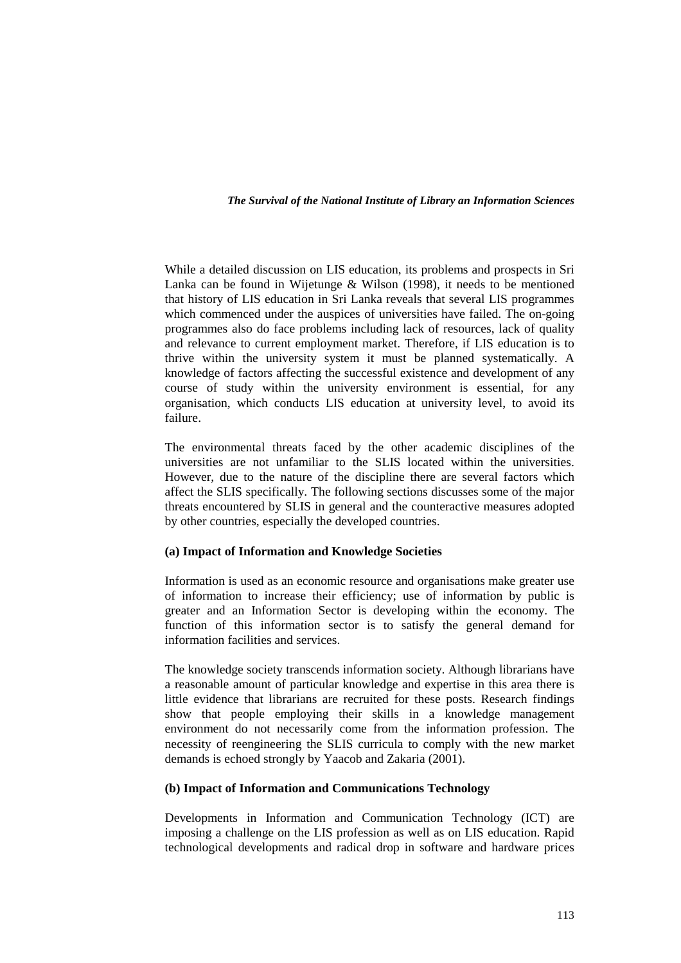While a detailed discussion on LIS education, its problems and prospects in Sri Lanka can be found in Wijetunge & Wilson (1998), it needs to be mentioned that history of LIS education in Sri Lanka reveals that several LIS programmes which commenced under the auspices of universities have failed. The on-going programmes also do face problems including lack of resources, lack of quality and relevance to current employment market. Therefore, if LIS education is to thrive within the university system it must be planned systematically. A knowledge of factors affecting the successful existence and development of any course of study within the university environment is essential, for any organisation, which conducts LIS education at university level, to avoid its failure.

The environmental threats faced by the other academic disciplines of the universities are not unfamiliar to the SLIS located within the universities. However, due to the nature of the discipline there are several factors which affect the SLIS specifically. The following sections discusses some of the major threats encountered by SLIS in general and the counteractive measures adopted by other countries, especially the developed countries.

# **(a) Impact of Information and Knowledge Societies**

Information is used as an economic resource and organisations make greater use of information to increase their efficiency; use of information by public is greater and an Information Sector is developing within the economy. The function of this information sector is to satisfy the general demand for information facilities and services.

The knowledge society transcends information society. Although librarians have a reasonable amount of particular knowledge and expertise in this area there is little evidence that librarians are recruited for these posts. Research findings show that people employing their skills in a knowledge management environment do not necessarily come from the information profession. The necessity of reengineering the SLIS curricula to comply with the new market demands is echoed strongly by Yaacob and Zakaria (2001).

# **(b) Impact of Information and Communications Technology**

Developments in Information and Communication Technology (ICT) are imposing a challenge on the LIS profession as well as on LIS education. Rapid technological developments and radical drop in software and hardware prices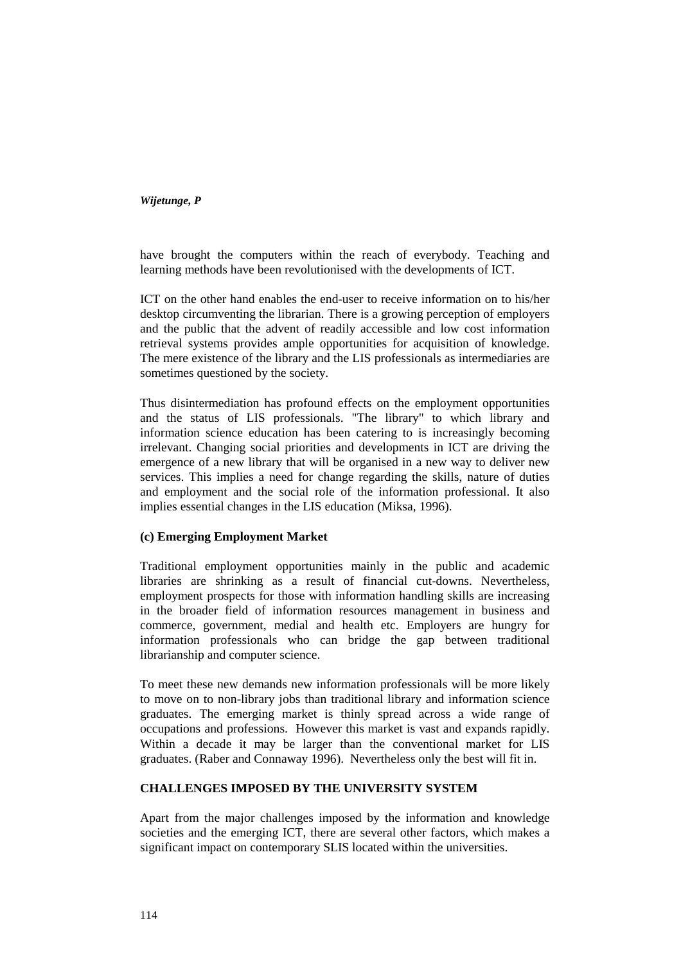have brought the computers within the reach of everybody. Teaching and learning methods have been revolutionised with the developments of ICT.

ICT on the other hand enables the end-user to receive information on to his/her desktop circumventing the librarian. There is a growing perception of employers and the public that the advent of readily accessible and low cost information retrieval systems provides ample opportunities for acquisition of knowledge. The mere existence of the library and the LIS professionals as intermediaries are sometimes questioned by the society.

Thus disintermediation has profound effects on the employment opportunities and the status of LIS professionals. "The library" to which library and information science education has been catering to is increasingly becoming irrelevant. Changing social priorities and developments in ICT are driving the emergence of a new library that will be organised in a new way to deliver new services. This implies a need for change regarding the skills, nature of duties and employment and the social role of the information professional. It also implies essential changes in the LIS education (Miksa, 1996).

# **(c) Emerging Employment Market**

Traditional employment opportunities mainly in the public and academic libraries are shrinking as a result of financial cut-downs. Nevertheless, employment prospects for those with information handling skills are increasing in the broader field of information resources management in business and commerce, government, medial and health etc. Employers are hungry for information professionals who can bridge the gap between traditional librarianship and computer science.

To meet these new demands new information professionals will be more likely to move on to non-library jobs than traditional library and information science graduates. The emerging market is thinly spread across a wide range of occupations and professions. However this market is vast and expands rapidly. Within a decade it may be larger than the conventional market for LIS graduates. (Raber and Connaway 1996). Nevertheless only the best will fit in.

# **CHALLENGES IMPOSED BY THE UNIVERSITY SYSTEM**

Apart from the major challenges imposed by the information and knowledge societies and the emerging ICT, there are several other factors, which makes a significant impact on contemporary SLIS located within the universities.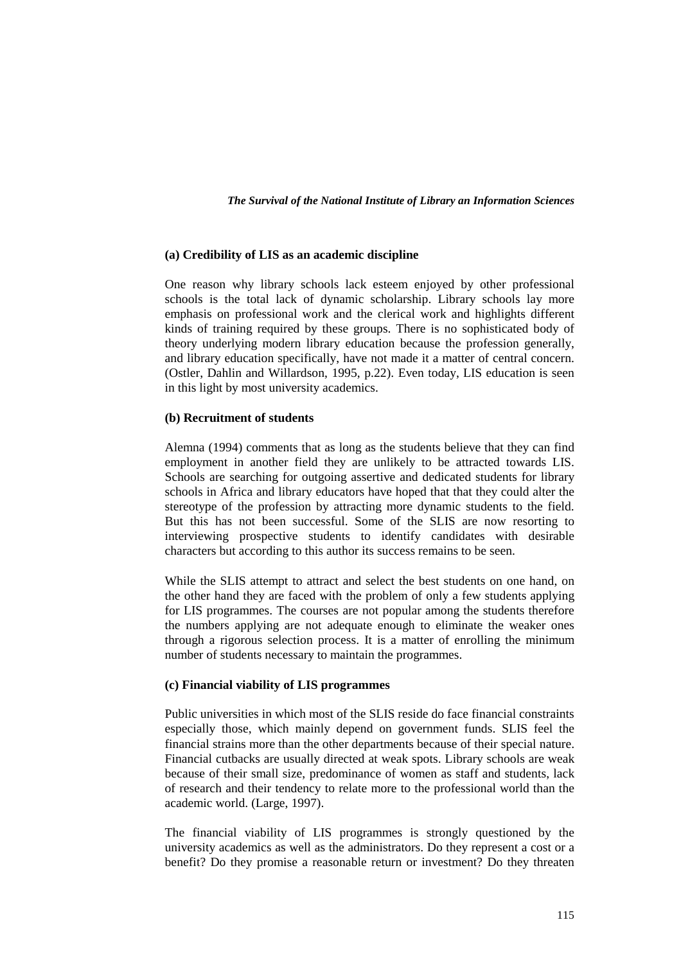### **(a) Credibility of LIS as an academic discipline**

One reason why library schools lack esteem enjoyed by other professional schools is the total lack of dynamic scholarship. Library schools lay more emphasis on professional work and the clerical work and highlights different kinds of training required by these groups. There is no sophisticated body of theory underlying modern library education because the profession generally, and library education specifically, have not made it a matter of central concern. (Ostler, Dahlin and Willardson, 1995, p.22). Even today, LIS education is seen in this light by most university academics.

### **(b) Recruitment of students**

Alemna (1994) comments that as long as the students believe that they can find employment in another field they are unlikely to be attracted towards LIS. Schools are searching for outgoing assertive and dedicated students for library schools in Africa and library educators have hoped that that they could alter the stereotype of the profession by attracting more dynamic students to the field. But this has not been successful. Some of the SLIS are now resorting to interviewing prospective students to identify candidates with desirable characters but according to this author its success remains to be seen.

While the SLIS attempt to attract and select the best students on one hand, on the other hand they are faced with the problem of only a few students applying for LIS programmes. The courses are not popular among the students therefore the numbers applying are not adequate enough to eliminate the weaker ones through a rigorous selection process. It is a matter of enrolling the minimum number of students necessary to maintain the programmes.

### **(c) Financial viability of LIS programmes**

Public universities in which most of the SLIS reside do face financial constraints especially those, which mainly depend on government funds. SLIS feel the financial strains more than the other departments because of their special nature. Financial cutbacks are usually directed at weak spots. Library schools are weak because of their small size, predominance of women as staff and students, lack of research and their tendency to relate more to the professional world than the academic world. (Large, 1997).

The financial viability of LIS programmes is strongly questioned by the university academics as well as the administrators. Do they represent a cost or a benefit? Do they promise a reasonable return or investment? Do they threaten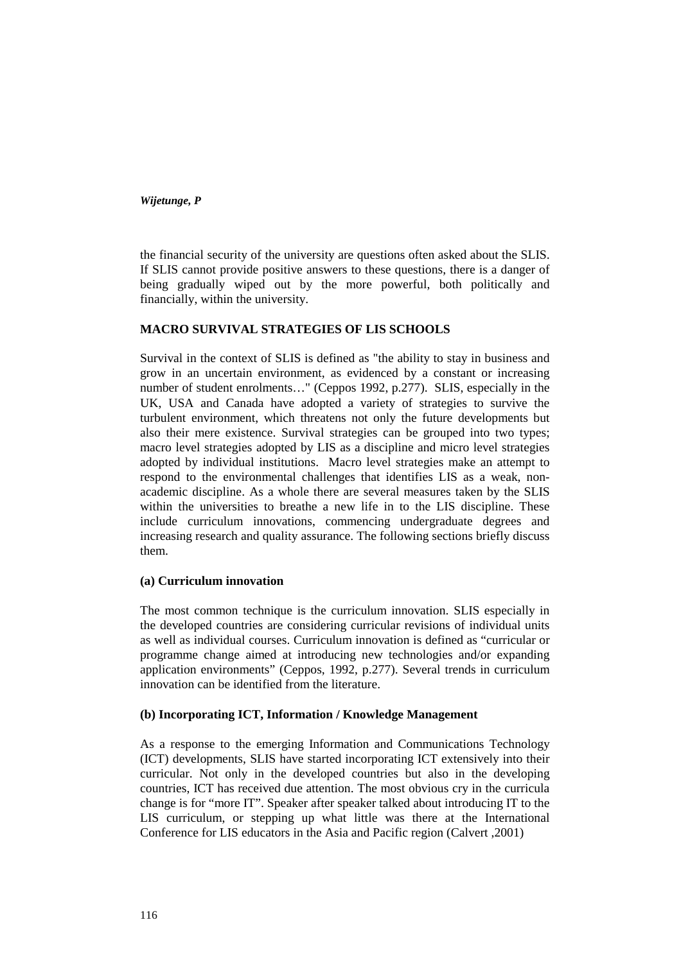the financial security of the university are questions often asked about the SLIS. If SLIS cannot provide positive answers to these questions, there is a danger of being gradually wiped out by the more powerful, both politically and financially, within the university.

# **MACRO SURVIVAL STRATEGIES OF LIS SCHOOLS**

Survival in the context of SLIS is defined as "the ability to stay in business and grow in an uncertain environment, as evidenced by a constant or increasing number of student enrolments…" (Ceppos 1992, p.277). SLIS, especially in the UK, USA and Canada have adopted a variety of strategies to survive the turbulent environment, which threatens not only the future developments but also their mere existence. Survival strategies can be grouped into two types; macro level strategies adopted by LIS as a discipline and micro level strategies adopted by individual institutions. Macro level strategies make an attempt to respond to the environmental challenges that identifies LIS as a weak, nonacademic discipline. As a whole there are several measures taken by the SLIS within the universities to breathe a new life in to the LIS discipline. These include curriculum innovations, commencing undergraduate degrees and increasing research and quality assurance. The following sections briefly discuss them.

# **(a) Curriculum innovation**

The most common technique is the curriculum innovation. SLIS especially in the developed countries are considering curricular revisions of individual units as well as individual courses. Curriculum innovation is defined as "curricular or programme change aimed at introducing new technologies and/or expanding application environments" (Ceppos, 1992, p.277). Several trends in curriculum innovation can be identified from the literature.

# **(b) Incorporating ICT, Information / Knowledge Management**

As a response to the emerging Information and Communications Technology (ICT) developments, SLIS have started incorporating ICT extensively into their curricular. Not only in the developed countries but also in the developing countries, ICT has received due attention. The most obvious cry in the curricula change is for "more IT". Speaker after speaker talked about introducing IT to the LIS curriculum, or stepping up what little was there at the International Conference for LIS educators in the Asia and Pacific region (Calvert ,2001)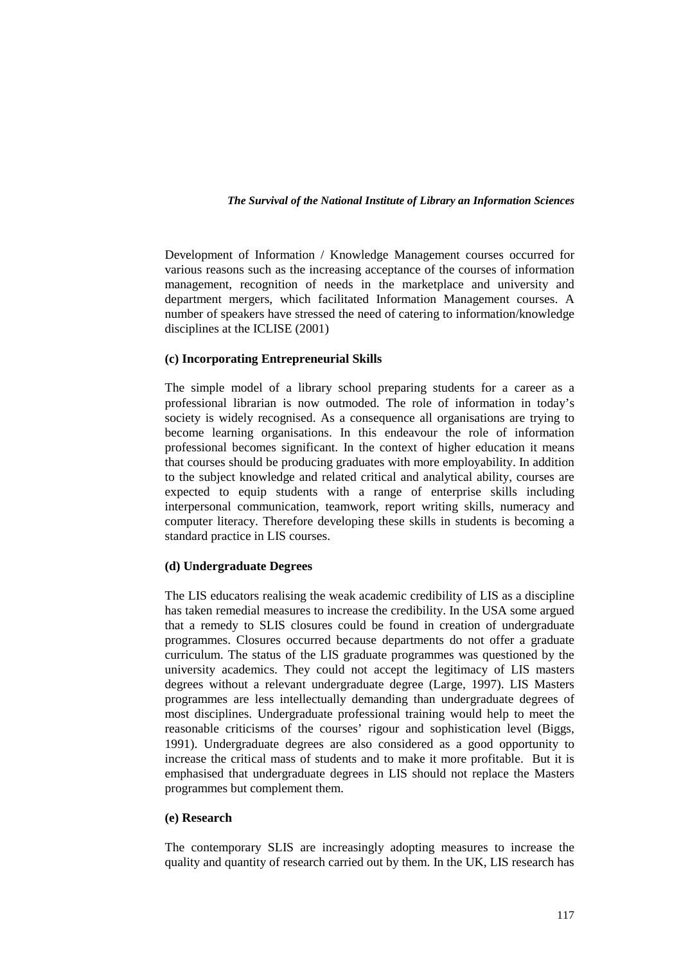Development of Information / Knowledge Management courses occurred for various reasons such as the increasing acceptance of the courses of information management, recognition of needs in the marketplace and university and department mergers, which facilitated Information Management courses. A number of speakers have stressed the need of catering to information/knowledge disciplines at the ICLISE (2001)

### **(c) Incorporating Entrepreneurial Skills**

The simple model of a library school preparing students for a career as a professional librarian is now outmoded. The role of information in today's society is widely recognised. As a consequence all organisations are trying to become learning organisations. In this endeavour the role of information professional becomes significant. In the context of higher education it means that courses should be producing graduates with more employability. In addition to the subject knowledge and related critical and analytical ability, courses are expected to equip students with a range of enterprise skills including interpersonal communication, teamwork, report writing skills, numeracy and computer literacy. Therefore developing these skills in students is becoming a standard practice in LIS courses.

# **(d) Undergraduate Degrees**

The LIS educators realising the weak academic credibility of LIS as a discipline has taken remedial measures to increase the credibility. In the USA some argued that a remedy to SLIS closures could be found in creation of undergraduate programmes. Closures occurred because departments do not offer a graduate curriculum. The status of the LIS graduate programmes was questioned by the university academics. They could not accept the legitimacy of LIS masters degrees without a relevant undergraduate degree (Large, 1997). LIS Masters programmes are less intellectually demanding than undergraduate degrees of most disciplines. Undergraduate professional training would help to meet the reasonable criticisms of the courses' rigour and sophistication level (Biggs, 1991). Undergraduate degrees are also considered as a good opportunity to increase the critical mass of students and to make it more profitable. But it is emphasised that undergraduate degrees in LIS should not replace the Masters programmes but complement them.

### **(e) Research**

The contemporary SLIS are increasingly adopting measures to increase the quality and quantity of research carried out by them. In the UK, LIS research has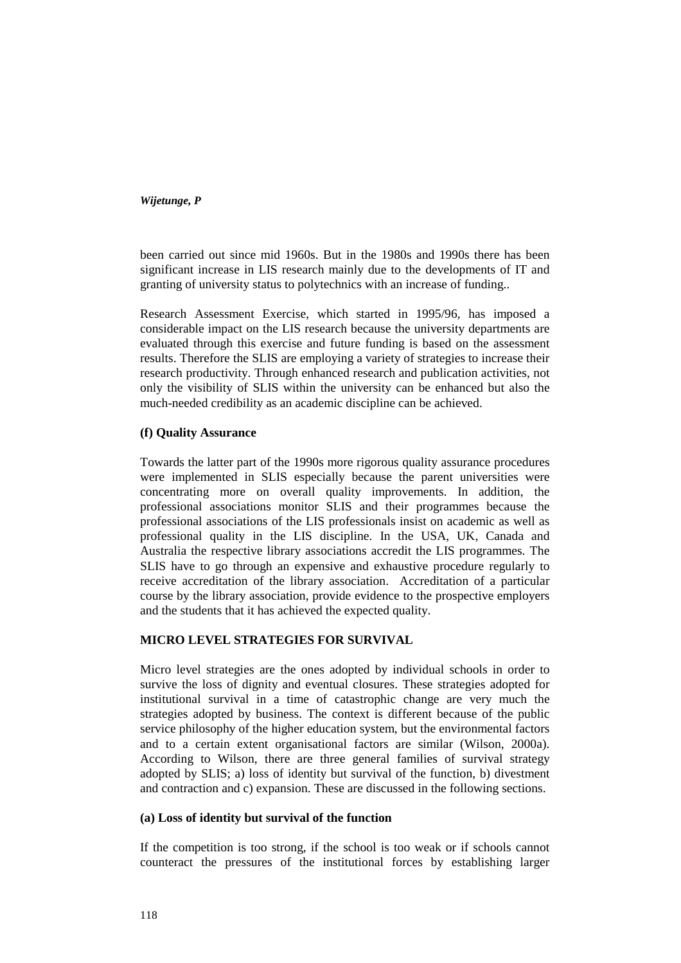been carried out since mid 1960s. But in the 1980s and 1990s there has been significant increase in LIS research mainly due to the developments of IT and granting of university status to polytechnics with an increase of funding..

Research Assessment Exercise, which started in 1995/96, has imposed a considerable impact on the LIS research because the university departments are evaluated through this exercise and future funding is based on the assessment results. Therefore the SLIS are employing a variety of strategies to increase their research productivity. Through enhanced research and publication activities, not only the visibility of SLIS within the university can be enhanced but also the much-needed credibility as an academic discipline can be achieved.

# **(f) Quality Assurance**

Towards the latter part of the 1990s more rigorous quality assurance procedures were implemented in SLIS especially because the parent universities were concentrating more on overall quality improvements. In addition, the professional associations monitor SLIS and their programmes because the professional associations of the LIS professionals insist on academic as well as professional quality in the LIS discipline. In the USA, UK, Canada and Australia the respective library associations accredit the LIS programmes. The SLIS have to go through an expensive and exhaustive procedure regularly to receive accreditation of the library association. Accreditation of a particular course by the library association, provide evidence to the prospective employers and the students that it has achieved the expected quality.

# **MICRO LEVEL STRATEGIES FOR SURVIVAL**

Micro level strategies are the ones adopted by individual schools in order to survive the loss of dignity and eventual closures. These strategies adopted for institutional survival in a time of catastrophic change are very much the strategies adopted by business. The context is different because of the public service philosophy of the higher education system, but the environmental factors and to a certain extent organisational factors are similar (Wilson, 2000a). According to Wilson, there are three general families of survival strategy adopted by SLIS; a) loss of identity but survival of the function, b) divestment and contraction and c) expansion. These are discussed in the following sections.

### **(a) Loss of identity but survival of the function**

If the competition is too strong, if the school is too weak or if schools cannot counteract the pressures of the institutional forces by establishing larger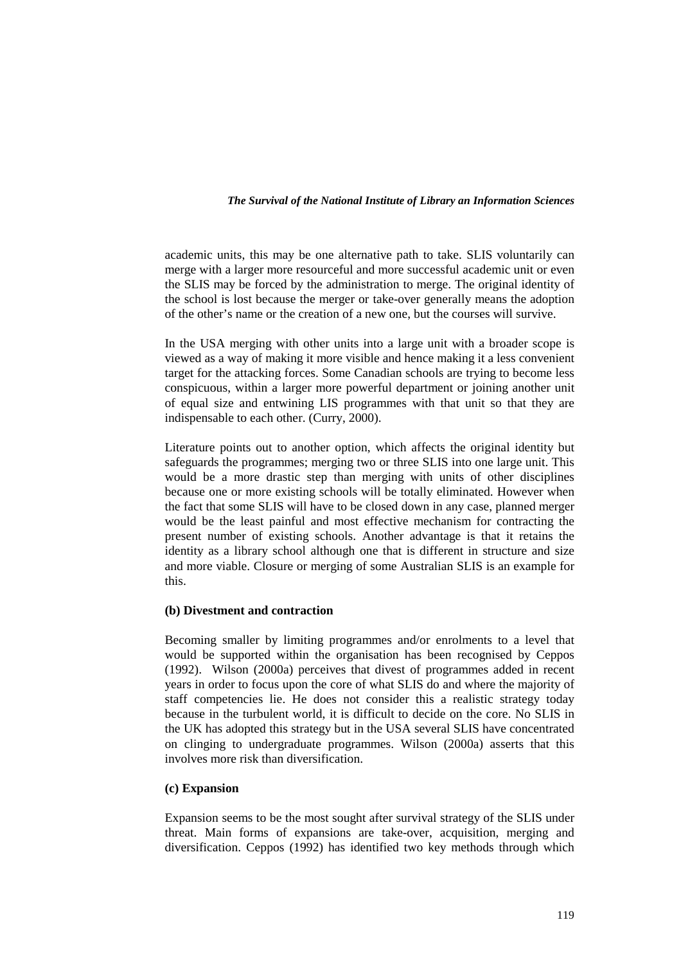academic units, this may be one alternative path to take. SLIS voluntarily can merge with a larger more resourceful and more successful academic unit or even the SLIS may be forced by the administration to merge. The original identity of the school is lost because the merger or take-over generally means the adoption of the other's name or the creation of a new one, but the courses will survive.

In the USA merging with other units into a large unit with a broader scope is viewed as a way of making it more visible and hence making it a less convenient target for the attacking forces. Some Canadian schools are trying to become less conspicuous, within a larger more powerful department or joining another unit of equal size and entwining LIS programmes with that unit so that they are indispensable to each other. (Curry, 2000).

Literature points out to another option, which affects the original identity but safeguards the programmes; merging two or three SLIS into one large unit. This would be a more drastic step than merging with units of other disciplines because one or more existing schools will be totally eliminated. However when the fact that some SLIS will have to be closed down in any case, planned merger would be the least painful and most effective mechanism for contracting the present number of existing schools. Another advantage is that it retains the identity as a library school although one that is different in structure and size and more viable. Closure or merging of some Australian SLIS is an example for this.

# **(b) Divestment and contraction**

Becoming smaller by limiting programmes and/or enrolments to a level that would be supported within the organisation has been recognised by Ceppos (1992). Wilson (2000a) perceives that divest of programmes added in recent years in order to focus upon the core of what SLIS do and where the majority of staff competencies lie. He does not consider this a realistic strategy today because in the turbulent world, it is difficult to decide on the core. No SLIS in the UK has adopted this strategy but in the USA several SLIS have concentrated on clinging to undergraduate programmes. Wilson (2000a) asserts that this involves more risk than diversification.

# **(c) Expansion**

Expansion seems to be the most sought after survival strategy of the SLIS under threat. Main forms of expansions are take-over, acquisition, merging and diversification. Ceppos (1992) has identified two key methods through which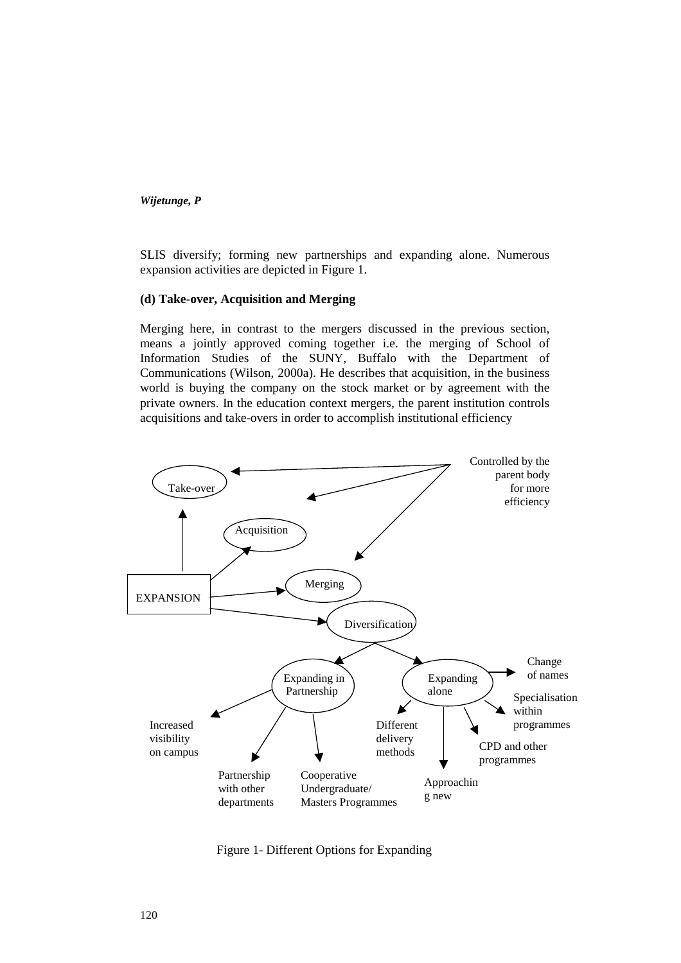SLIS diversify; forming new partnerships and expanding alone. Numerous expansion activities are depicted in Figure 1.

### **(d) Take-over, Acquisition and Merging**

Merging here, in contrast to the mergers discussed in the previous section, means a jointly approved coming together i.e. the merging of School of Information Studies of the SUNY, Buffalo with the Department of Communications (Wilson, 2000a). He describes that acquisition, in the business world is buying the company on the stock market or by agreement with the private owners. In the education context mergers, the parent institution controls acquisitions and take-overs in order to accomplish institutional efficiency



Figure 1- Different Options for Expanding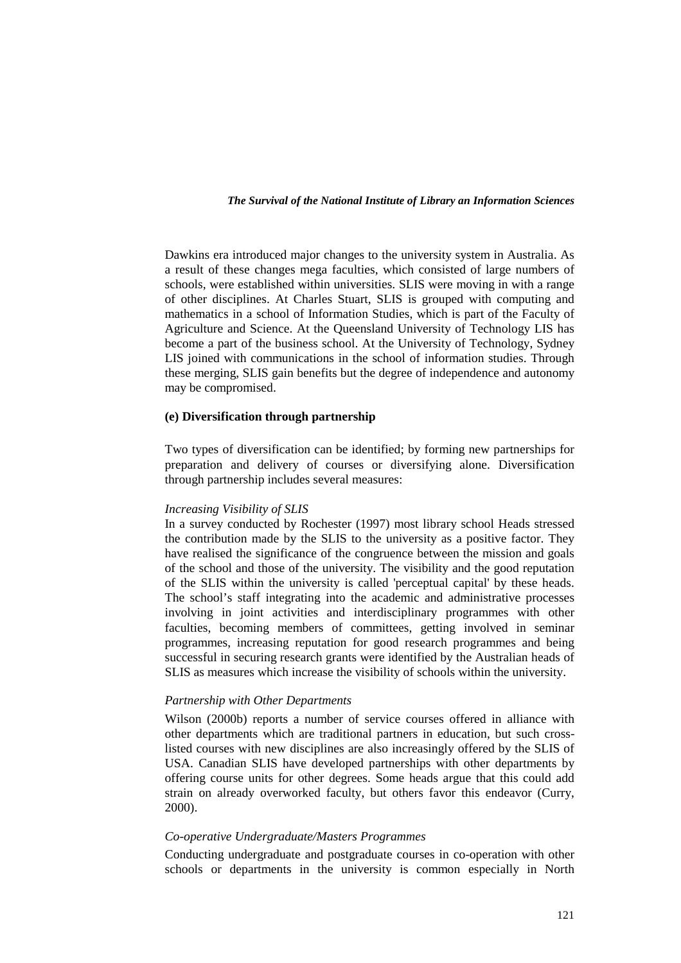Dawkins era introduced major changes to the university system in Australia. As a result of these changes mega faculties, which consisted of large numbers of schools, were established within universities. SLIS were moving in with a range of other disciplines. At Charles Stuart, SLIS is grouped with computing and mathematics in a school of Information Studies, which is part of the Faculty of Agriculture and Science. At the Queensland University of Technology LIS has become a part of the business school. At the University of Technology, Sydney LIS joined with communications in the school of information studies. Through these merging, SLIS gain benefits but the degree of independence and autonomy may be compromised.

### **(e) Diversification through partnership**

Two types of diversification can be identified; by forming new partnerships for preparation and delivery of courses or diversifying alone. Diversification through partnership includes several measures:

#### *Increasing Visibility of SLIS*

In a survey conducted by Rochester (1997) most library school Heads stressed the contribution made by the SLIS to the university as a positive factor. They have realised the significance of the congruence between the mission and goals of the school and those of the university. The visibility and the good reputation of the SLIS within the university is called 'perceptual capital' by these heads. The school's staff integrating into the academic and administrative processes involving in joint activities and interdisciplinary programmes with other faculties, becoming members of committees, getting involved in seminar programmes, increasing reputation for good research programmes and being successful in securing research grants were identified by the Australian heads of SLIS as measures which increase the visibility of schools within the university.

#### *Partnership with Other Departments*

Wilson (2000b) reports a number of service courses offered in alliance with other departments which are traditional partners in education, but such crosslisted courses with new disciplines are also increasingly offered by the SLIS of USA. Canadian SLIS have developed partnerships with other departments by offering course units for other degrees. Some heads argue that this could add strain on already overworked faculty, but others favor this endeavor (Curry, 2000).

#### *Co-operative Undergraduate/Masters Programmes*

Conducting undergraduate and postgraduate courses in co-operation with other schools or departments in the university is common especially in North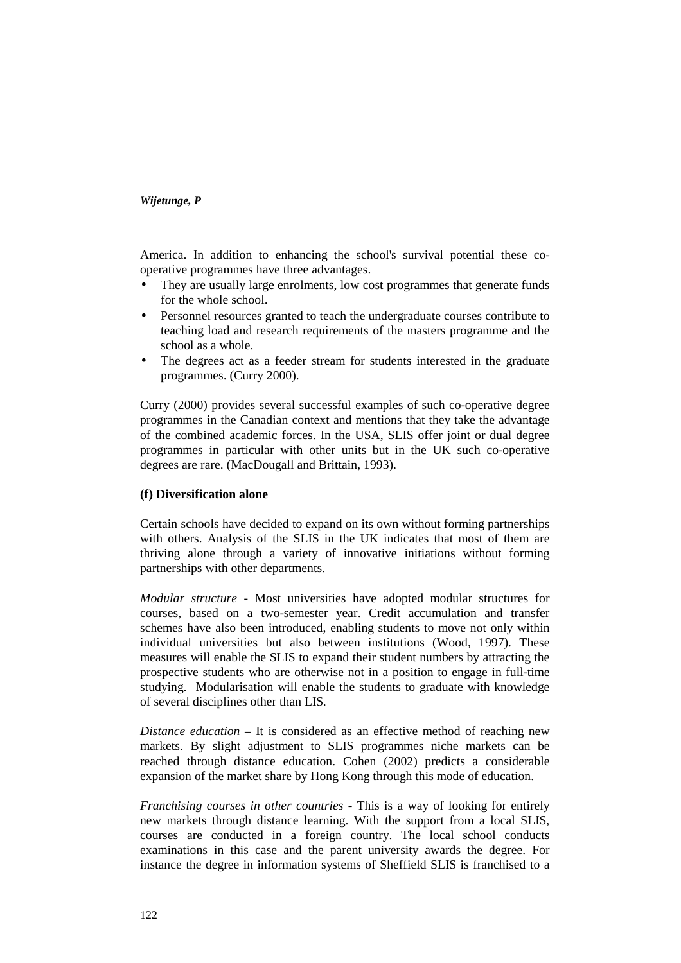America. In addition to enhancing the school's survival potential these cooperative programmes have three advantages.

- They are usually large enrolments, low cost programmes that generate funds for the whole school.
- Personnel resources granted to teach the undergraduate courses contribute to teaching load and research requirements of the masters programme and the school as a whole.
- The degrees act as a feeder stream for students interested in the graduate programmes. (Curry 2000).

Curry (2000) provides several successful examples of such co-operative degree programmes in the Canadian context and mentions that they take the advantage of the combined academic forces. In the USA, SLIS offer joint or dual degree programmes in particular with other units but in the UK such co-operative degrees are rare. (MacDougall and Brittain, 1993).

# **(f) Diversification alone**

Certain schools have decided to expand on its own without forming partnerships with others. Analysis of the SLIS in the UK indicates that most of them are thriving alone through a variety of innovative initiations without forming partnerships with other departments.

*Modular structure -* Most universities have adopted modular structures for courses, based on a two-semester year. Credit accumulation and transfer schemes have also been introduced, enabling students to move not only within individual universities but also between institutions (Wood, 1997). These measures will enable the SLIS to expand their student numbers by attracting the prospective students who are otherwise not in a position to engage in full-time studying. Modularisation will enable the students to graduate with knowledge of several disciplines other than LIS*.* 

*Distance education* – It is considered as an effective method of reaching new markets. By slight adjustment to SLIS programmes niche markets can be reached through distance education. Cohen (2002) predicts a considerable expansion of the market share by Hong Kong through this mode of education.

*Franchising courses in other countries -* This is a way of looking for entirely new markets through distance learning. With the support from a local SLIS, courses are conducted in a foreign country. The local school conducts examinations in this case and the parent university awards the degree. For instance the degree in information systems of Sheffield SLIS is franchised to a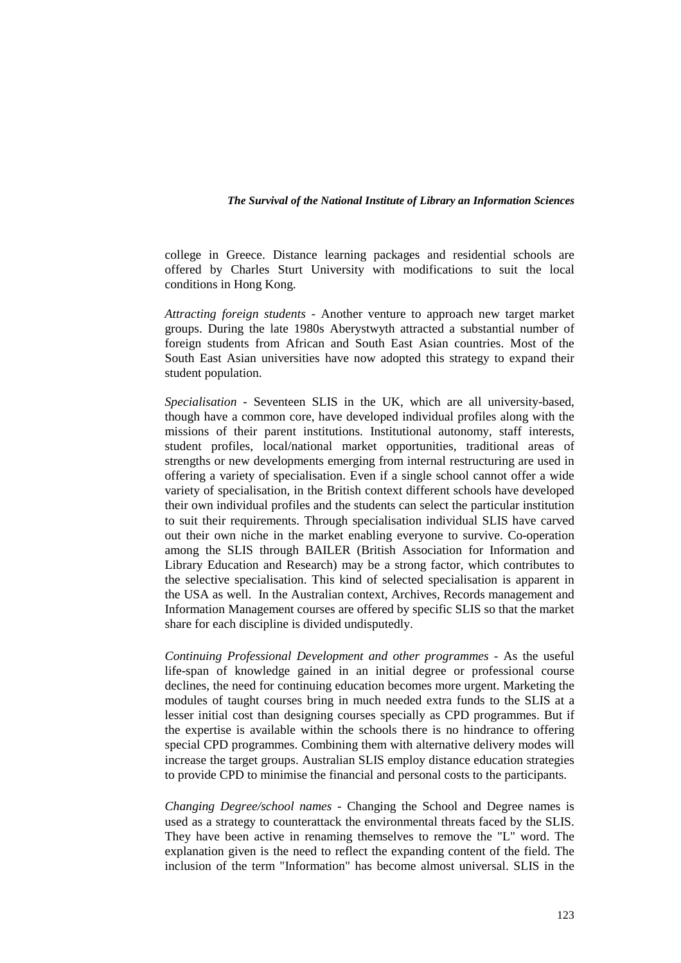college in Greece. Distance learning packages and residential schools are offered by Charles Sturt University with modifications to suit the local conditions in Hong Kong.

*Attracting foreign students -* Another venture to approach new target market groups. During the late 1980s Aberystwyth attracted a substantial number of foreign students from African and South East Asian countries. Most of the South East Asian universities have now adopted this strategy to expand their student population.

*Specialisation -* Seventeen SLIS in the UK, which are all university-based, though have a common core, have developed individual profiles along with the missions of their parent institutions. Institutional autonomy, staff interests, student profiles, local/national market opportunities, traditional areas of strengths or new developments emerging from internal restructuring are used in offering a variety of specialisation. Even if a single school cannot offer a wide variety of specialisation, in the British context different schools have developed their own individual profiles and the students can select the particular institution to suit their requirements. Through specialisation individual SLIS have carved out their own niche in the market enabling everyone to survive. Co-operation among the SLIS through BAILER (British Association for Information and Library Education and Research) may be a strong factor, which contributes to the selective specialisation. This kind of selected specialisation is apparent in the USA as well. In the Australian context, Archives, Records management and Information Management courses are offered by specific SLIS so that the market share for each discipline is divided undisputedly.

*Continuing Professional Development and other programmes -* As the useful life-span of knowledge gained in an initial degree or professional course declines, the need for continuing education becomes more urgent. Marketing the modules of taught courses bring in much needed extra funds to the SLIS at a lesser initial cost than designing courses specially as CPD programmes. But if the expertise is available within the schools there is no hindrance to offering special CPD programmes. Combining them with alternative delivery modes will increase the target groups. Australian SLIS employ distance education strategies to provide CPD to minimise the financial and personal costs to the participants.

*Changing Degree/school names -* Changing the School and Degree names is used as a strategy to counterattack the environmental threats faced by the SLIS. They have been active in renaming themselves to remove the "L" word. The explanation given is the need to reflect the expanding content of the field. The inclusion of the term "Information" has become almost universal. SLIS in the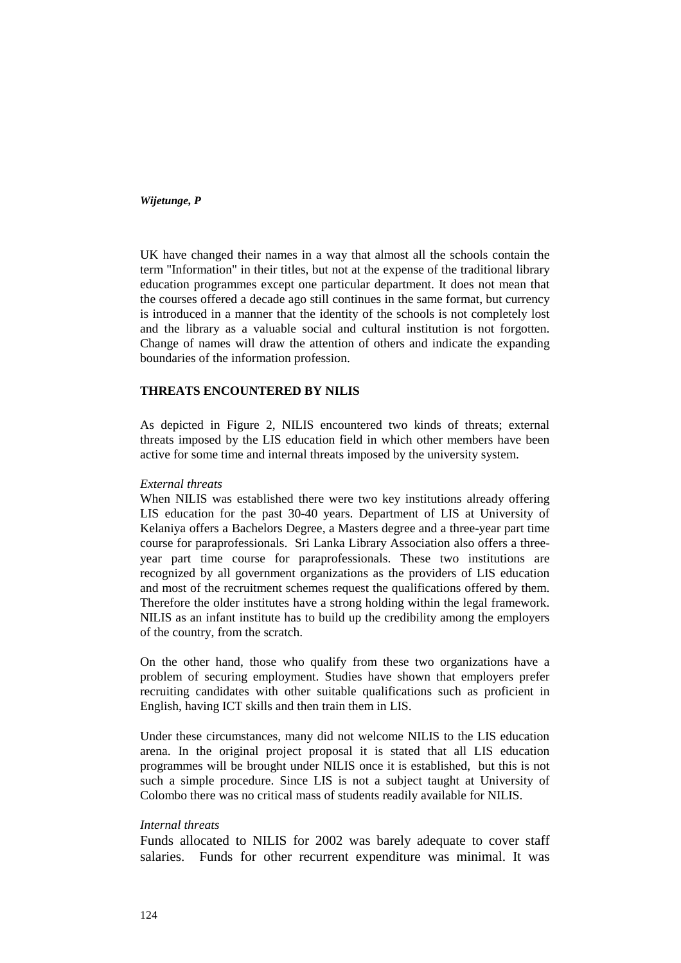UK have changed their names in a way that almost all the schools contain the term "Information" in their titles, but not at the expense of the traditional library education programmes except one particular department. It does not mean that the courses offered a decade ago still continues in the same format, but currency is introduced in a manner that the identity of the schools is not completely lost and the library as a valuable social and cultural institution is not forgotten. Change of names will draw the attention of others and indicate the expanding boundaries of the information profession.

## **THREATS ENCOUNTERED BY NILIS**

As depicted in Figure 2, NILIS encountered two kinds of threats; external threats imposed by the LIS education field in which other members have been active for some time and internal threats imposed by the university system.

### *External threats*

When NILIS was established there were two key institutions already offering LIS education for the past 30-40 years. Department of LIS at University of Kelaniya offers a Bachelors Degree, a Masters degree and a three-year part time course for paraprofessionals. Sri Lanka Library Association also offers a threeyear part time course for paraprofessionals. These two institutions are recognized by all government organizations as the providers of LIS education and most of the recruitment schemes request the qualifications offered by them. Therefore the older institutes have a strong holding within the legal framework. NILIS as an infant institute has to build up the credibility among the employers of the country, from the scratch.

On the other hand, those who qualify from these two organizations have a problem of securing employment. Studies have shown that employers prefer recruiting candidates with other suitable qualifications such as proficient in English, having ICT skills and then train them in LIS.

Under these circumstances, many did not welcome NILIS to the LIS education arena. In the original project proposal it is stated that all LIS education programmes will be brought under NILIS once it is established, but this is not such a simple procedure. Since LIS is not a subject taught at University of Colombo there was no critical mass of students readily available for NILIS.

### *Internal threats*

Funds allocated to NILIS for 2002 was barely adequate to cover staff salaries. Funds for other recurrent expenditure was minimal. It was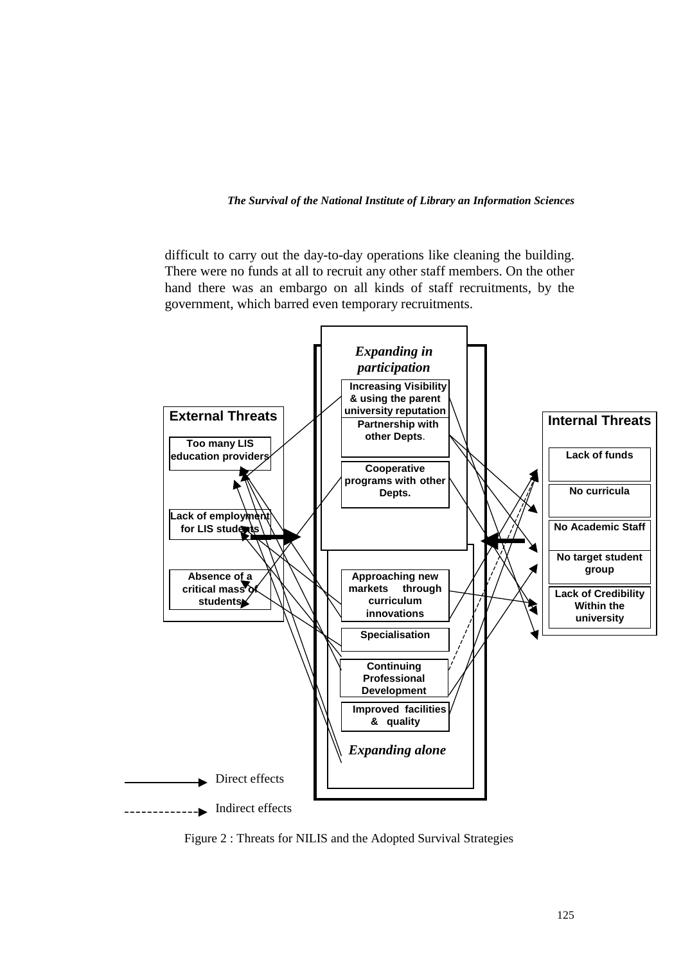difficult to carry out the day-to-day operations like cleaning the building. There were no funds at all to recruit any other staff members. On the other hand there was an embargo on all kinds of staff recruitments, by the government, which barred even temporary recruitments.



Figure 2 : Threats for NILIS and the Adopted Survival Strategies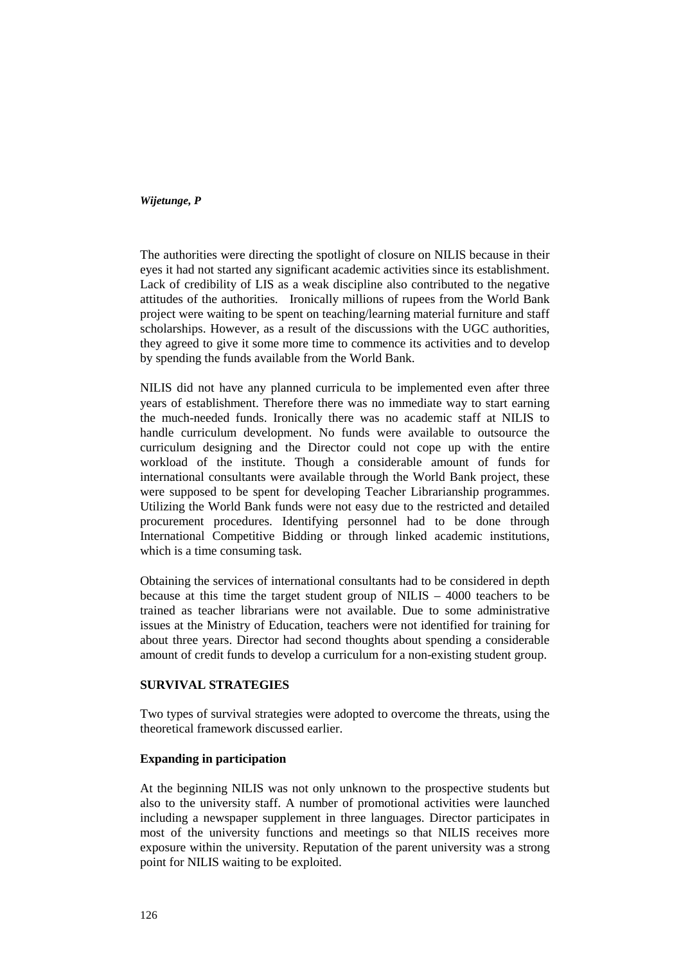The authorities were directing the spotlight of closure on NILIS because in their eyes it had not started any significant academic activities since its establishment. Lack of credibility of LIS as a weak discipline also contributed to the negative attitudes of the authorities. Ironically millions of rupees from the World Bank project were waiting to be spent on teaching/learning material furniture and staff scholarships. However, as a result of the discussions with the UGC authorities, they agreed to give it some more time to commence its activities and to develop by spending the funds available from the World Bank.

NILIS did not have any planned curricula to be implemented even after three years of establishment. Therefore there was no immediate way to start earning the much-needed funds. Ironically there was no academic staff at NILIS to handle curriculum development. No funds were available to outsource the curriculum designing and the Director could not cope up with the entire workload of the institute. Though a considerable amount of funds for international consultants were available through the World Bank project, these were supposed to be spent for developing Teacher Librarianship programmes. Utilizing the World Bank funds were not easy due to the restricted and detailed procurement procedures. Identifying personnel had to be done through International Competitive Bidding or through linked academic institutions, which is a time consuming task.

Obtaining the services of international consultants had to be considered in depth because at this time the target student group of NILIS – 4000 teachers to be trained as teacher librarians were not available. Due to some administrative issues at the Ministry of Education, teachers were not identified for training for about three years. Director had second thoughts about spending a considerable amount of credit funds to develop a curriculum for a non-existing student group.

### **SURVIVAL STRATEGIES**

Two types of survival strategies were adopted to overcome the threats, using the theoretical framework discussed earlier.

# **Expanding in participation**

At the beginning NILIS was not only unknown to the prospective students but also to the university staff. A number of promotional activities were launched including a newspaper supplement in three languages. Director participates in most of the university functions and meetings so that NILIS receives more exposure within the university. Reputation of the parent university was a strong point for NILIS waiting to be exploited.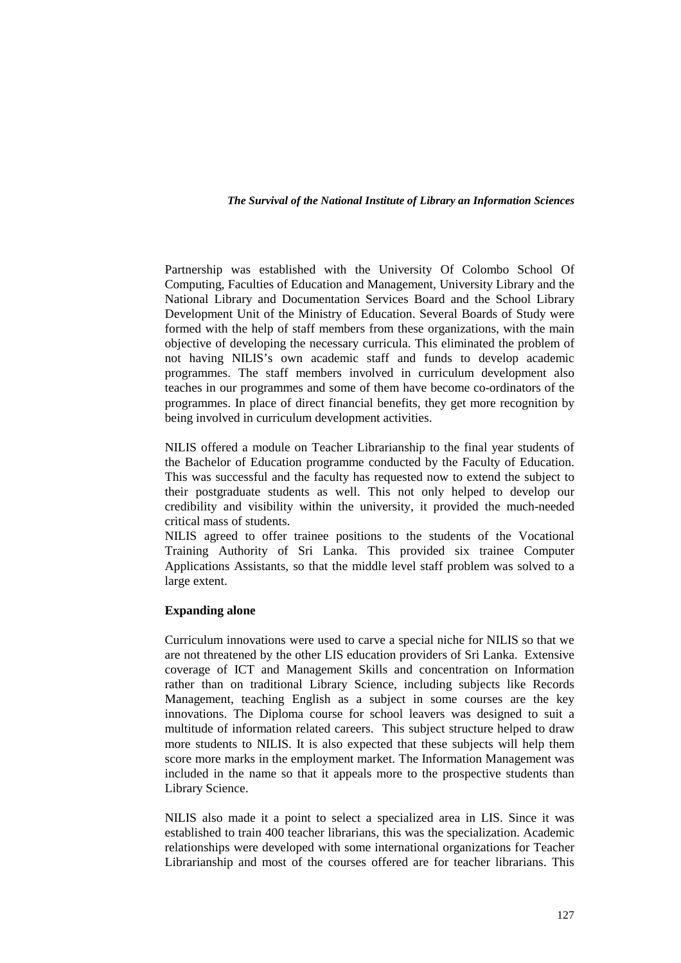Partnership was established with the University Of Colombo School Of Computing, Faculties of Education and Management, University Library and the National Library and Documentation Services Board and the School Library Development Unit of the Ministry of Education. Several Boards of Study were formed with the help of staff members from these organizations, with the main objective of developing the necessary curricula. This eliminated the problem of not having NILIS's own academic staff and funds to develop academic programmes. The staff members involved in curriculum development also teaches in our programmes and some of them have become co-ordinators of the programmes. In place of direct financial benefits, they get more recognition by being involved in curriculum development activities.

NILIS offered a module on Teacher Librarianship to the final year students of the Bachelor of Education programme conducted by the Faculty of Education. This was successful and the faculty has requested now to extend the subject to their postgraduate students as well. This not only helped to develop our credibility and visibility within the university, it provided the much-needed critical mass of students.

NILIS agreed to offer trainee positions to the students of the Vocational Training Authority of Sri Lanka. This provided six trainee Computer Applications Assistants, so that the middle level staff problem was solved to a large extent.

# **Expanding alone**

Curriculum innovations were used to carve a special niche for NILIS so that we are not threatened by the other LIS education providers of Sri Lanka. Extensive coverage of ICT and Management Skills and concentration on Information rather than on traditional Library Science, including subjects like Records Management, teaching English as a subject in some courses are the key innovations. The Diploma course for school leavers was designed to suit a multitude of information related careers. This subject structure helped to draw more students to NILIS. It is also expected that these subjects will help them score more marks in the employment market. The Information Management was included in the name so that it appeals more to the prospective students than Library Science.

NILIS also made it a point to select a specialized area in LIS. Since it was established to train 400 teacher librarians, this was the specialization. Academic relationships were developed with some international organizations for Teacher Librarianship and most of the courses offered are for teacher librarians. This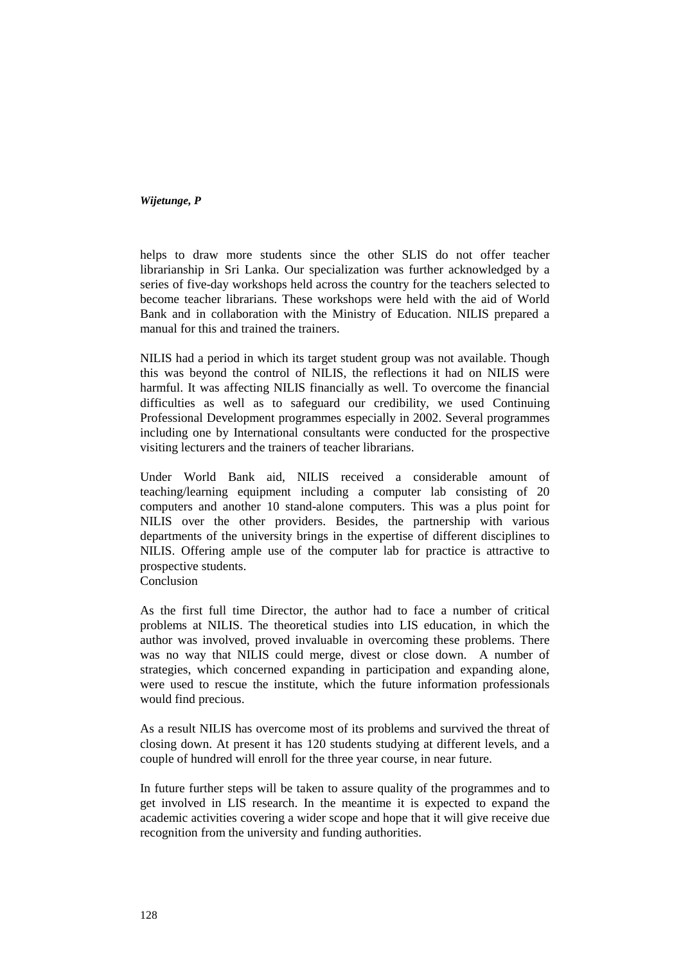helps to draw more students since the other SLIS do not offer teacher librarianship in Sri Lanka. Our specialization was further acknowledged by a series of five-day workshops held across the country for the teachers selected to become teacher librarians. These workshops were held with the aid of World Bank and in collaboration with the Ministry of Education. NILIS prepared a manual for this and trained the trainers.

NILIS had a period in which its target student group was not available. Though this was beyond the control of NILIS, the reflections it had on NILIS were harmful. It was affecting NILIS financially as well. To overcome the financial difficulties as well as to safeguard our credibility, we used Continuing Professional Development programmes especially in 2002. Several programmes including one by International consultants were conducted for the prospective visiting lecturers and the trainers of teacher librarians.

Under World Bank aid, NILIS received a considerable amount of teaching/learning equipment including a computer lab consisting of 20 computers and another 10 stand-alone computers. This was a plus point for NILIS over the other providers. Besides, the partnership with various departments of the university brings in the expertise of different disciplines to NILIS. Offering ample use of the computer lab for practice is attractive to prospective students.

Conclusion

As the first full time Director, the author had to face a number of critical problems at NILIS. The theoretical studies into LIS education, in which the author was involved, proved invaluable in overcoming these problems. There was no way that NILIS could merge, divest or close down. A number of strategies, which concerned expanding in participation and expanding alone, were used to rescue the institute, which the future information professionals would find precious.

As a result NILIS has overcome most of its problems and survived the threat of closing down. At present it has 120 students studying at different levels, and a couple of hundred will enroll for the three year course, in near future.

In future further steps will be taken to assure quality of the programmes and to get involved in LIS research. In the meantime it is expected to expand the academic activities covering a wider scope and hope that it will give receive due recognition from the university and funding authorities.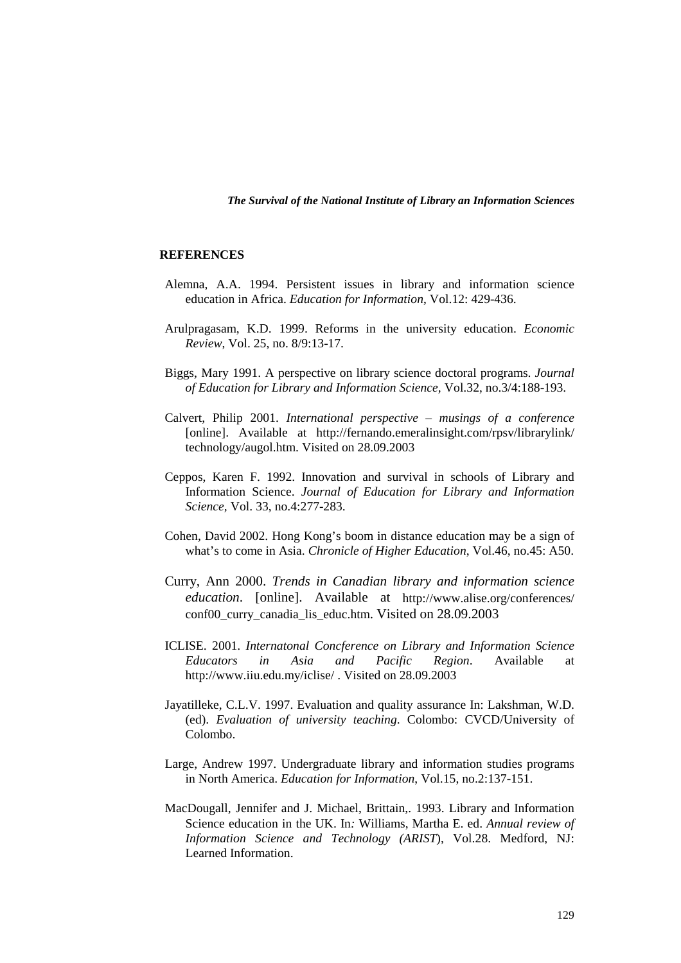### **REFERENCES**

- Alemna, A.A. 1994. Persistent issues in library and information science education in Africa. *Education for Information*, Vol.12: 429-436.
- Arulpragasam, K.D. 1999. Reforms in the university education. *Economic Review*, Vol. 25, no. 8/9:13-17.
- Biggs, Mary 1991. A perspective on library science doctoral programs. *Journal of Education for Library and Information Science,* Vol.32, no.3/4:188-193.
- Calvert, Philip 2001. *International perspective musings of a conference* [online]. Available at http://fernando.emeralinsight.com/rpsv/librarylink/ technology/augol.htm. Visited on 28.09.2003
- Ceppos, Karen F. 1992. Innovation and survival in schools of Library and Information Science. *Journal of Education for Library and Information Science,* Vol. 33, no.4:277-283.
- Cohen, David 2002. Hong Kong's boom in distance education may be a sign of what's to come in Asia. *Chronicle of Higher Education*, Vol.46, no.45: A50.
- Curry, Ann 2000. *Trends in Canadian library and information science education*. [online]. Available at http://www.alise.org/conferences/ conf00\_curry\_canadia\_lis\_educ.htm. Visited on 28.09.2003
- ICLISE. 2001. *Internatonal Concference on Library and Information Science Educators in Asia and Pacific Region*. Available at http://www.iiu.edu.my/iclise/ . Visited on 28.09.2003
- Jayatilleke, C.L.V. 1997. Evaluation and quality assurance In: Lakshman, W.D. (ed). *Evaluation of university teaching*. Colombo: CVCD/University of Colombo.
- Large, Andrew 1997. Undergraduate library and information studies programs in North America. *Education for Information*, Vol.15, no.2:137-151.
- MacDougall, Jennifer and J. Michael, Brittain,. 1993. Library and Information Science education in the UK. In*:* Williams, Martha E. ed. *Annual review of Information Science and Technology (ARIST*), Vol.28. Medford, NJ: Learned Information.